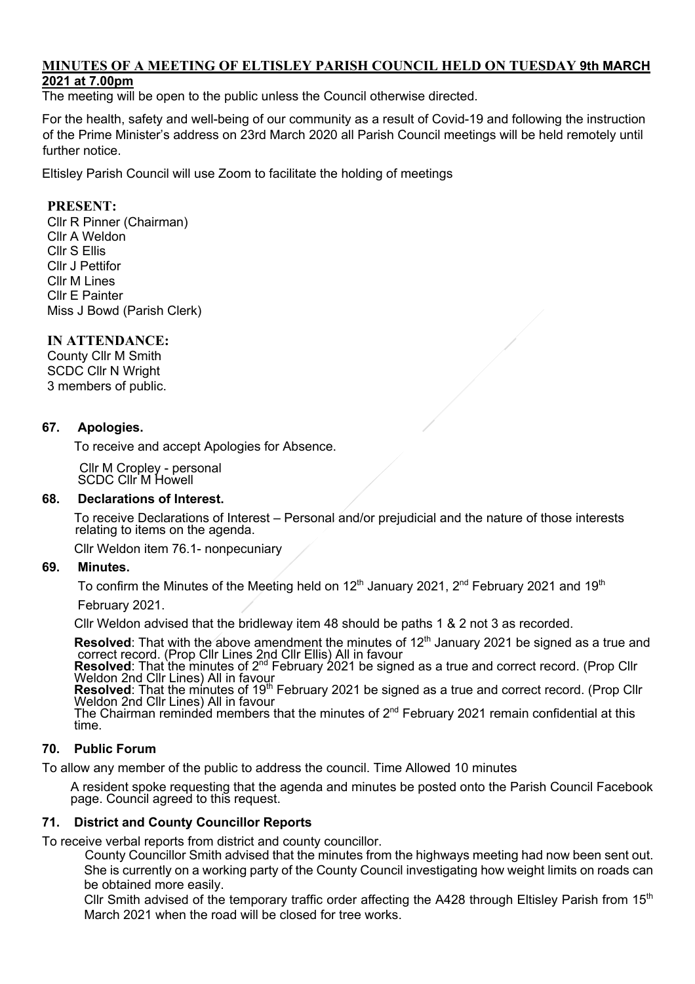# **MINUTES OF A MEETING OF ELTISLEY PARISH COUNCIL HELD ON TUESDAY 9th MARCH**

# **2021 at 7.00pm**

The meeting will be open to the public unless the Council otherwise directed.

For the health, safety and well-being of our community as a result of Covid-19 and following the instruction of the Prime Minister's address on 23rd March 2020 all Parish Council meetings will be held remotely until further notice.

Eltisley Parish Council will use Zoom to facilitate the holding of meetings

### **PRESENT:**

Cllr R Pinner (Chairman) Cllr A Weldon Cllr S Ellis Cllr J Pettifor Cllr M Lines Cllr E Painter Miss J Bowd (Parish Clerk)

#### **IN ATTENDANCE:**

County Cllr M Smith SCDC Cllr N Wright 3 members of public.

#### **67. Apologies.**

To receive and accept Apologies for Absence.

Cllr M Cropley - personal SCDC Cllr M Howell

#### **68. Declarations of Interest.**

To receive Declarations of Interest – Personal and/or prejudicial and the nature of those interests relating to items on the agenda.

Cllr Weldon item 76.1- nonpecuniary

#### **69. Minutes.**

To confirm the Minutes of the Meeting held on  $12<sup>th</sup>$  January 2021,  $2<sup>nd</sup>$  February 2021 and 19<sup>th</sup>

February 2021.

Cllr Weldon advised that the bridleway item 48 should be paths 1 & 2 not 3 as recorded.

**Resolved:** That with the above amendment the minutes of  $12^{\text{th}}$  January 2021 be signed as a true and correct record. (Prop Cllr Lines 2nd Cllr Ellis) All in favour<br>**Resolved:** That the minutes of  $2^{\text{nd}}$  February 20

## **70. Public Forum**

To allow any member of the public to address the council. Time Allowed 10 minutes

A resident spoke requesting that the agenda and minutes be posted onto the Parish Council Facebook page. Council agreed to this request.

#### **71. District and County Councillor Reports**

To receive verbal reports from district and county councillor.

 County Councillor Smith advised that the minutes from the highways meeting had now been sent out. She is currently on a working party of the County Council investigating how weight limits on roads can be obtained more easily.

Cllr Smith advised of the temporary traffic order affecting the A428 through Eltisley Parish from 15<sup>th</sup> March 2021 when the road will be closed for tree works.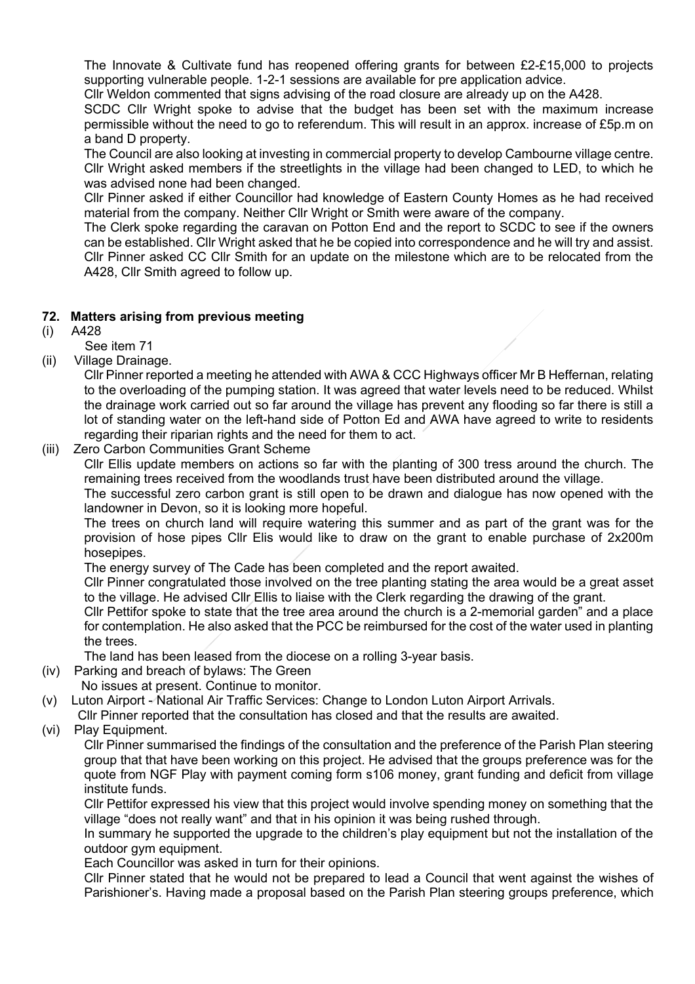The Innovate & Cultivate fund has reopened offering grants for between £2-£15,000 to projects supporting vulnerable people. 1-2-1 sessions are available for pre application advice.

Cllr Weldon commented that signs advising of the road closure are already up on the A428.

SCDC Cllr Wright spoke to advise that the budget has been set with the maximum increase permissible without the need to go to referendum. This will result in an approx. increase of £5p.m on a band D property.

The Council are also looking at investing in commercial property to develop Cambourne village centre. Cllr Wright asked members if the streetlights in the village had been changed to LED, to which he was advised none had been changed.

Cllr Pinner asked if either Councillor had knowledge of Eastern County Homes as he had received material from the company. Neither Cllr Wright or Smith were aware of the company.

The Clerk spoke regarding the caravan on Potton End and the report to SCDC to see if the owners can be established. Cllr Wright asked that he be copied into correspondence and he will try and assist. Cllr Pinner asked CC Cllr Smith for an update on the milestone which are to be relocated from the A428, Cllr Smith agreed to follow up.

#### **72. Matters arising from previous meeting**

- (i) A428
	- See item 71
- (ii) Village Drainage.

Cllr Pinner reported a meeting he attended with AWA & CCC Highways officer Mr B Heffernan, relating to the overloading of the pumping station. It was agreed that water levels need to be reduced. Whilst the drainage work carried out so far around the village has prevent any flooding so far there is still a lot of standing water on the left-hand side of Potton Ed and AWA have agreed to write to residents regarding their riparian rights and the need for them to act.

#### (iii) Zero Carbon Communities Grant Scheme

Cllr Ellis update members on actions so far with the planting of 300 tress around the church. The remaining trees received from the woodlands trust have been distributed around the village.

The successful zero carbon grant is still open to be drawn and dialogue has now opened with the landowner in Devon, so it is looking more hopeful.

The trees on church land will require watering this summer and as part of the grant was for the provision of hose pipes Cllr Elis would like to draw on the grant to enable purchase of 2x200m hosepipes.

The energy survey of The Cade has been completed and the report awaited.

Cllr Pinner congratulated those involved on the tree planting stating the area would be a great asset to the village. He advised Cllr Ellis to liaise with the Clerk regarding the drawing of the grant.

Cllr Pettifor spoke to state that the tree area around the church is a 2-memorial garden" and a place for contemplation. He also asked that the PCC be reimbursed for the cost of the water used in planting the trees.

The land has been leased from the diocese on a rolling 3-year basis.

- (iv) Parking and breach of bylaws: The Green
	- No issues at present. Continue to monitor.
- (v) Luton Airport National Air Traffic Services: Change to London Luton Airport Arrivals.
	- Cllr Pinner reported that the consultation has closed and that the results are awaited.
- (vi) Play Equipment.

Cllr Pinner summarised the findings of the consultation and the preference of the Parish Plan steering group that that have been working on this project. He advised that the groups preference was for the quote from NGF Play with payment coming form s106 money, grant funding and deficit from village institute funds.

Cllr Pettifor expressed his view that this project would involve spending money on something that the village "does not really want" and that in his opinion it was being rushed through.

In summary he supported the upgrade to the children's play equipment but not the installation of the outdoor gym equipment.

Each Councillor was asked in turn for their opinions.

Cllr Pinner stated that he would not be prepared to lead a Council that went against the wishes of Parishioner's. Having made a proposal based on the Parish Plan steering groups preference, which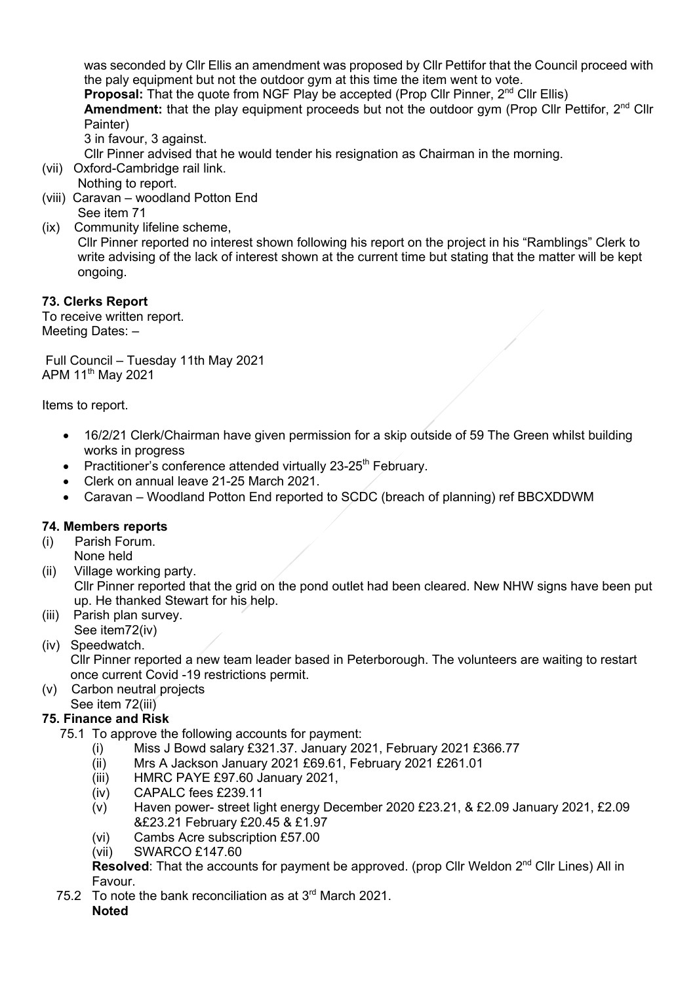was seconded by Cllr Ellis an amendment was proposed by Cllr Pettifor that the Council proceed with the paly equipment but not the outdoor gym at this time the item went to vote. **Proposal:** That the quote from NGF Play be accepted (Prop Cllr Pinner, 2<sup>nd</sup> Cllr Ellis) **Amendment:** that the play equipment proceeds but not the outdoor gym (Prop Cllr Pettifor, 2<sup>nd</sup> Cllr Painter)

3 in favour, 3 against.

Cllr Pinner advised that he would tender his resignation as Chairman in the morning.

- (vii) Oxford-Cambridge rail link. Nothing to report.
- (viii) Caravan woodland Potton End See item 71
- (ix) Community lifeline scheme,

 Cllr Pinner reported no interest shown following his report on the project in his "Ramblings" Clerk to write advising of the lack of interest shown at the current time but stating that the matter will be kept ongoing.

# **73. Clerks Report**

To receive written report. Meeting Dates: –

Full Council – Tuesday 11th May 2021 APM 11<sup>th</sup> May 2021

Items to report.

- 16/2/21 Clerk/Chairman have given permission for a skip outside of 59 The Green whilst building works in progress
- Practitioner's conference attended virtually  $23-25$ <sup>th</sup> February.
- Clerk on annual leave 21-25 March 2021.
- Caravan Woodland Potton End reported to SCDC (breach of planning) ref BBCXDDWM

# **74. Members reports**

- (i) Parish Forum.
	- None held
- (ii) Village working party. Cllr Pinner reported that the grid on the pond outlet had been cleared. New NHW signs have been put up. He thanked Stewart for his help.
- (iii) Parish plan survey. See item72(iv)
- (iv) Speedwatch.

 Cllr Pinner reported a new team leader based in Peterborough. The volunteers are waiting to restart once current Covid -19 restrictions permit.

(v) Carbon neutral projects See item 72(iii)

# **75. Finance and Risk**

- 75.1 To approve the following accounts for payment:
	- (i) Miss J Bowd salary £321.37. January 2021, February 2021 £366.77
	- (ii) Mrs A Jackson January 2021 £69.61, February 2021 £261.01
	- (iii) HMRC PAYE £97.60 January 2021,
	- (iv) CAPALC fees £239.11
	- (v) Haven power- street light energy December 2020 £23.21, & £2.09 January 2021, £2.09 &£23.21 February £20.45 & £1.97
	- (vi) Cambs Acre subscription £57.00
	- (vii) SWARCO £147.60

**Resolved:** That the accounts for payment be approved. (prop Cllr Weldon 2<sup>nd</sup> Cllr Lines) All in Favour.

75.2 To note the bank reconciliation as at  $3<sup>rd</sup>$  March 2021. **Noted**